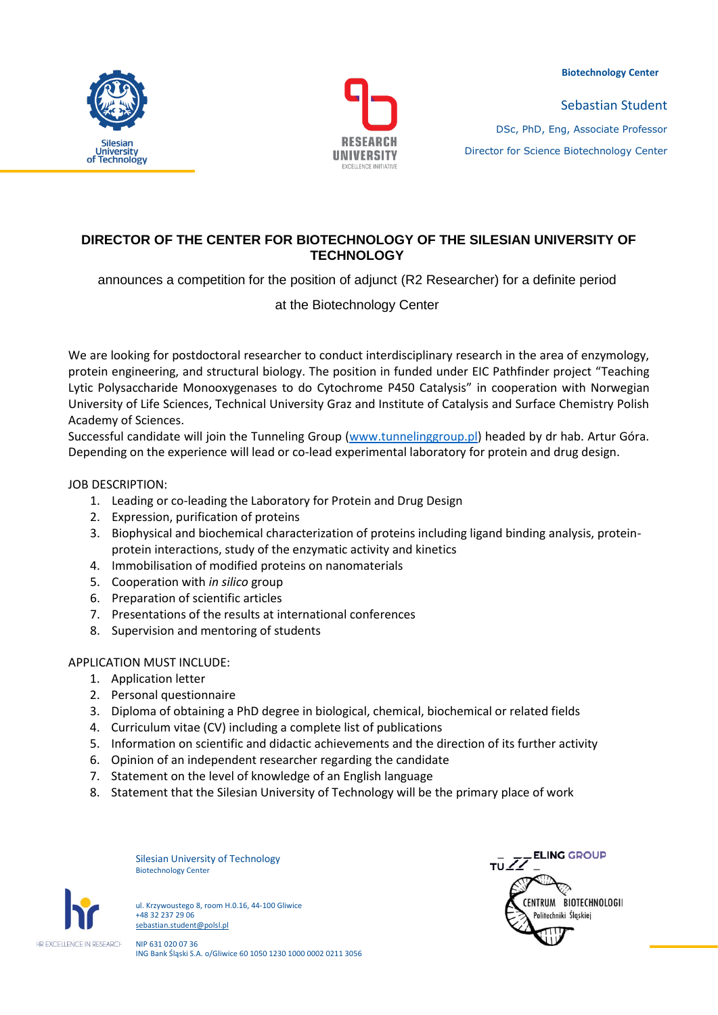**Biotechnology Center**





Sebastian Student DSc, PhD, Eng, Associate Professor Director for Science Biotechnology Center

# **DIRECTOR OF THE CENTER FOR BIOTECHNOLOGY OF THE SILESIAN UNIVERSITY OF TECHNOLOGY**

announces a competition for the position of adjunct (R2 Researcher) for a definite period

at the Biotechnology Center

We are looking for postdoctoral researcher to conduct interdisciplinary research in the area of enzymology, protein engineering, and structural biology. The position in funded under EIC Pathfinder project "Teaching Lytic Polysaccharide Monooxygenases to do Cytochrome P450 Catalysis" in cooperation with Norwegian University of Life Sciences, Technical University Graz and Institute of Catalysis and Surface Chemistry Polish Academy of Sciences.

Successful candidate will join the Tunneling Group [\(www.tunnelinggroup.pl](http://www.tunnelinggroup.pl/)) headed by dr hab. Artur Góra. Depending on the experience will lead or co-lead experimental laboratory for protein and drug design.

### JOB DESCRIPTION:

- 1. Leading or co-leading the Laboratory for Protein and Drug Design
- 2. Expression, purification of proteins
- 3. Biophysical and biochemical characterization of proteins including ligand binding analysis, proteinprotein interactions, study of the enzymatic activity and kinetics
- 4. Immobilisation of modified proteins on nanomaterials
- 5. Cooperation with *in silico* group
- 6. Preparation of scientific articles
- 7. Presentations of the results at international conferences
- 8. Supervision and mentoring of students

### APPLICATION MUST INCLUDE:

- 1. Application letter
- 2. Personal questionnaire
- 3. Diploma of obtaining a PhD degree in biological, chemical, biochemical or related fields
- 4. Curriculum vitae (CV) including a complete list of publications
- 5. Information on scientific and didactic achievements and the direction of its further activity
- 6. Opinion of an independent researcher regarding the candidate
- 7. Statement on the level of knowledge of an English language
- 8. Statement that the Silesian University of Technology will be the primary place of work





ul. Krzywoustego 8, room H.0.16, 44-100 Gliwice +48 32 237 29 06 sebastian.student@polsl.pl

NIP 631 020 07 36 ING Bank Śląski S.A. o/Gliwice 60 1050 1230 1000 0002 0211 3056

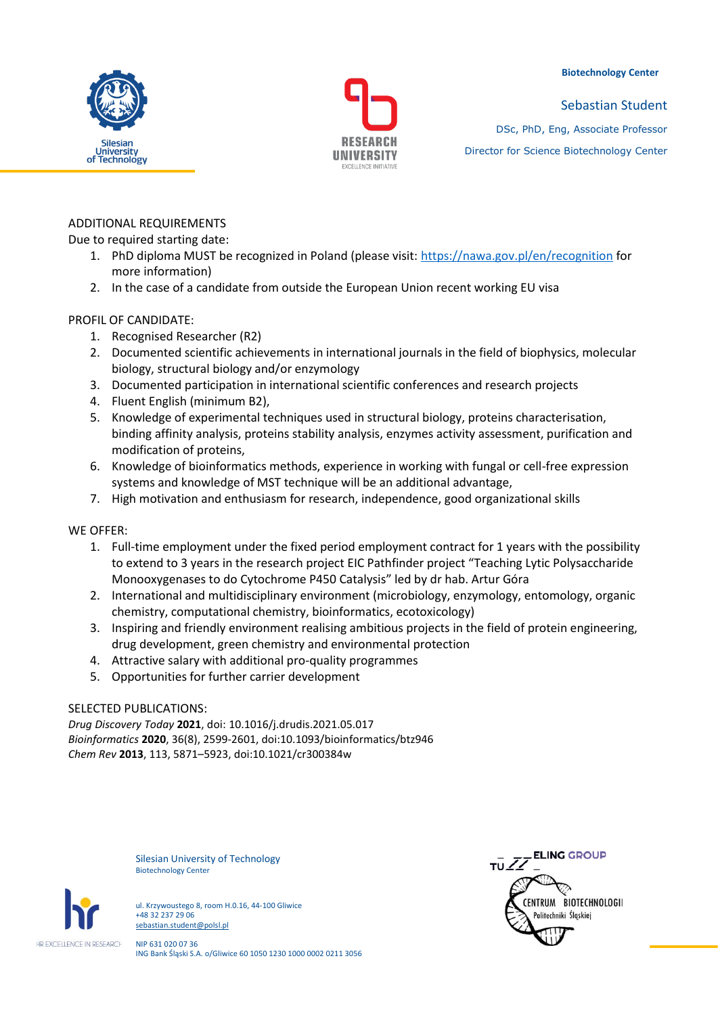#### **Biotechnology Center**





Sebastian Student DSc, PhD, Eng, Associate Professor

Director for Science Biotechnology Center

ADDITIONAL REQUIREMENTS Due to required starting date:

- 1. PhD diploma MUST be recognized in Poland (please visit:<https://nawa.gov.pl/en/recognition> for more information)
- 2. In the case of a candidate from outside the European Union recent working EU visa

# PROFIL OF CANDIDATE:

- 1. Recognised Researcher (R2)
- 2. Documented scientific achievements in international journals in the field of biophysics, molecular biology, structural biology and/or enzymology
- 3. Documented participation in international scientific conferences and research projects
- 4. Fluent English (minimum B2),
- 5. Knowledge of experimental techniques used in structural biology, proteins characterisation, binding affinity analysis, proteins stability analysis, enzymes activity assessment, purification and modification of proteins,
- 6. Knowledge of bioinformatics methods, experience in working with fungal or cell-free expression systems and knowledge of MST technique will be an additional advantage,
- 7. High motivation and enthusiasm for research, independence, good organizational skills

## WE OFFER:

- 1. Full-time employment under the fixed period employment contract for 1 years with the possibility to extend to 3 years in the research project EIC Pathfinder project "Teaching Lytic Polysaccharide Monooxygenases to do Cytochrome P450 Catalysis" led by dr hab. Artur Góra
- 2. International and multidisciplinary environment (microbiology, enzymology, entomology, organic chemistry, computational chemistry, bioinformatics, ecotoxicology)
- 3. Inspiring and friendly environment realising ambitious projects in the field of protein engineering, drug development, green chemistry and environmental protection
- 4. Attractive salary with additional pro-quality programmes
- 5. Opportunities for further carrier development

## SELECTED PUBLICATIONS:

*Drug Discovery Today* **2021**, doi: 10.1016/j.drudis.2021.05.017 *Bioinformatics* **2020**, 36(8), 2599-2601, doi:10.1093/bioinformatics/btz946 *Chem Rev* **2013**, 113, 5871–5923, doi:10.1021/cr300384w

> Silesian University of Technology Biotechnology Center



ul. Krzywoustego 8, room H.0.16, 44-100 Gliwice +48 32 237 29 06 sebastian.student@polsl.pl

NIP 631 020 07 36 ING Bank Śląski S.A. o/Gliwice 60 1050 1230 1000 0002 0211 3056